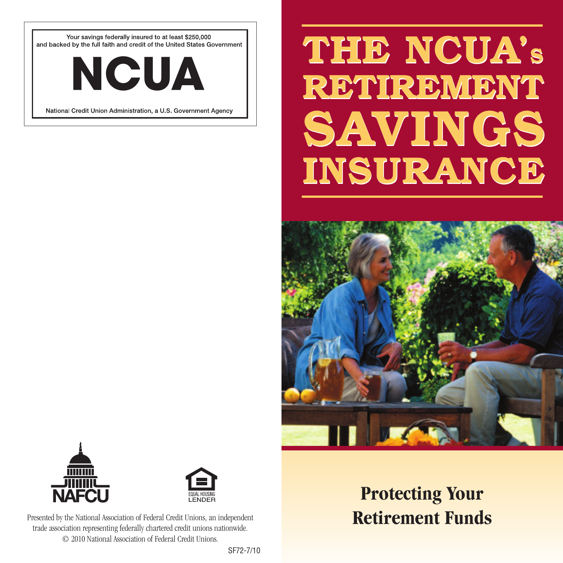Your savings federally insured to at least \$250,000 and backed by the full faith and credit of the United States Government



National Credit Union Administration, a U.S. Government Agency

# **THE NCUA'S THE NCUA'S RETIREMENT RETIREMENT SAVINGS SAVINGS INSURANCE INSURANCE**







Presented by the National Association of Federal Credit Unions, an independent trade association representing federally chartered credit unions nationwide. © 2010 National Association of Federal Credit Unions.

## **Protecting Your Retirement Funds**